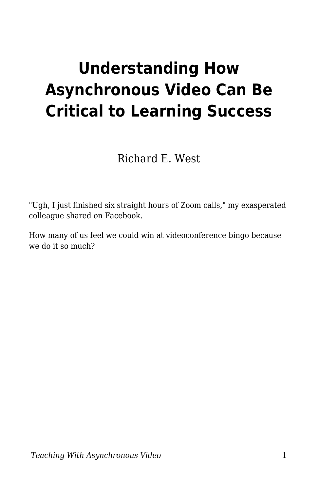# **Understanding How Asynchronous Video Can Be Critical to Learning Success**

Richard E. West

"Ugh, I just finished six straight hours of Zoom calls," my exasperated colleague shared on Facebook.

How many of us feel we could win at videoconference bingo because we do it so much?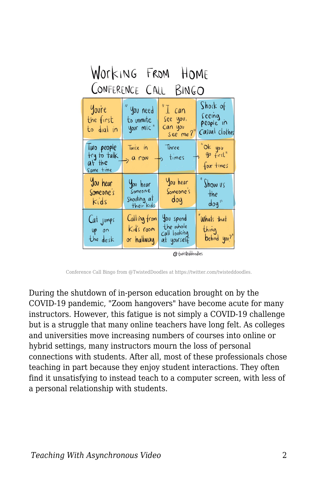| Working From HOME                                |                                                  |                                                                             |                                                   |
|--------------------------------------------------|--------------------------------------------------|-----------------------------------------------------------------------------|---------------------------------------------------|
| CONFERENCE CALL BINGO                            |                                                  |                                                                             |                                                   |
| Youre<br>the first<br>to dial in                 | " you need<br>to unmute<br>your mic"             | $^{\prime\prime}$ $\overline{\perp}$ can<br>See you,<br>Can you<br>see me?" | Shock of<br>seeing<br>people in<br>Casual clothes |
| lwo people<br>try to talk<br>at the<br>Same time | Twice in<br>$> 0$ row                            | Three<br>$\rightarrow$ times                                                | "Ok you<br>"go first"<br>four times               |
| You hear<br>Someone's<br>Kids                    | You hear<br>Someone<br>Shouting at<br>their kids | You hear<br>Someone's<br>dog                                                | $\int$ how us<br>$+he$<br>$\sim$ dog"             |
| Cat jumps<br>$UP$ on<br>the desk                 | Calling from<br>Kid's room<br>or hallway         | You spend<br>the whole<br>Call looking<br>at yourself                       | Whats that<br>thing<br>behind you?"               |

@fwisteddoodles

Conference Call Bingo from @TwistedDoodles at https://twitter.com/twisteddoodles.

During the shutdown of in-person education brought on by the COVID-19 pandemic, "Zoom hangovers" have become acute for many instructors. However, this fatigue is not simply a COVID-19 challenge but is a struggle that many online teachers have long felt. As colleges and universities move increasing numbers of courses into online or hybrid settings, many instructors mourn the loss of personal connections with students. After all, most of these professionals chose teaching in part because they enjoy student interactions. They often find it unsatisfying to instead teach to a computer screen, with less of a personal relationship with students.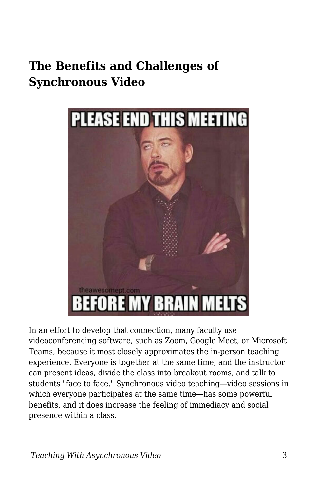#### **The Benefits and Challenges of Synchronous Video**



In an effort to develop that connection, many faculty use videoconferencing software, such as Zoom, Google Meet, or Microsoft Teams, because it most closely approximates the in-person teaching experience. Everyone is together at the same time, and the instructor can present ideas, divide the class into breakout rooms, and talk to students "face to face." Synchronous video teaching—video sessions in which everyone participates at the same time—has some powerful benefits, and it does increase the feeling of immediacy and social presence within a class.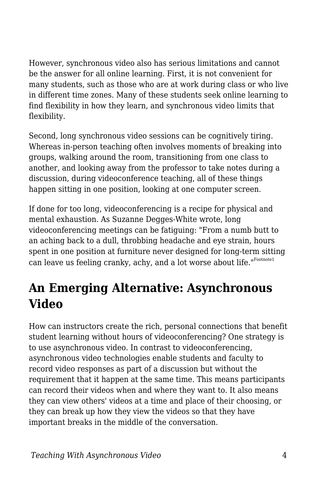However, synchronous video also has serious limitations and cannot be the answer for all online learning. First, it is not convenient for many students, such as those who are at work during class or who live in different time zones. Many of these students seek online learning to find flexibility in how they learn, and synchronous video limits that flexibility.

Second, long synchronous video sessions can be cognitively tiring. Whereas in-person teaching often involves moments of breaking into groups, walking around the room, transitioning from one class to another, and looking away from the professor to take notes during a discussion, during videoconference teaching, all of these things happen sitting in one position, looking at one computer screen.

If done for too long, videoconferencing is a recipe for physical and mental exhaustion. As Suzanne Degges-White wrote, long videoconferencing meetings can be fatiguing: "From a numb butt to an aching back to a dull, throbbing headache and eye strain, hours spent in one position at furniture never designed for long-term sitting can leave us feeling cranky, achy, and a lot worse about life."Footnote1

### **An Emerging Alternative: Asynchronous Video**

How can instructors create the rich, personal connections that benefit student learning without hours of videoconferencing? One strategy is to use asynchronous video. In contrast to videoconferencing, asynchronous video technologies enable students and faculty to record video responses as part of a discussion but without the requirement that it happen at the same time. This means participants can record their videos when and where they want to. It also means they can view others' videos at a time and place of their choosing, or they can break up how they view the videos so that they have important breaks in the middle of the conversation.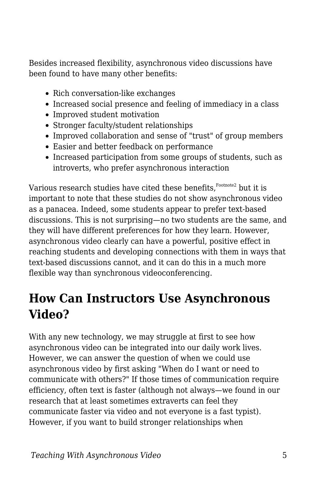Besides increased flexibility, asynchronous video discussions have been found to have many other benefits:

- Rich conversation-like exchanges
- Increased social presence and feeling of immediacy in a class
- Improved student motivation
- Stronger faculty/student relationships
- Improved collaboration and sense of "trust" of group members
- Easier and better feedback on performance
- Increased participation from some groups of students, such as introverts, who prefer asynchronous interaction

Various research studies have cited these benefits, Footnote2 but it is important to note that these studies do not show asynchronous video as a panacea. Indeed, some students appear to prefer text-based discussions. This is not surprising—no two students are the same, and they will have different preferences for how they learn. However, asynchronous video clearly can have a powerful, positive effect in reaching students and developing connections with them in ways that text-based discussions cannot, and it can do this in a much more flexible way than synchronous videoconferencing.

### **How Can Instructors Use Asynchronous Video?**

With any new technology, we may struggle at first to see how asynchronous video can be integrated into our daily work lives. However, we can answer the question of when we could use asynchronous video by first asking "When do I want or need to communicate with others?" If those times of communication require efficiency, often text is faster (although not always—we found in our research that at least sometimes extraverts can feel they communicate faster via video and not everyone is a fast typist). However, if you want to build stronger relationships when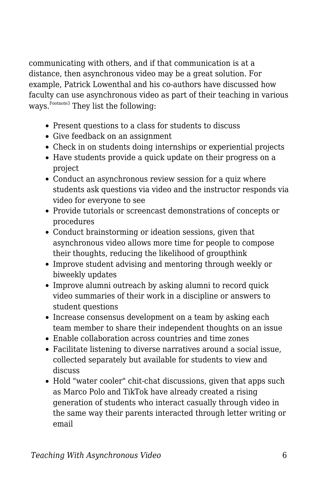communicating with others, and if that communication is at a distance, then asynchronous video may be a great solution. For example, Patrick Lowenthal and his co-authors have discussed how faculty can use asynchronous video as part of their teaching in various ways.<sup>Footnote3</sup> They list the following:

- Present questions to a class for students to discuss
- Give feedback on an assignment
- Check in on students doing internships or experiential projects
- Have students provide a quick update on their progress on a project
- Conduct an asynchronous review session for a quiz where students ask questions via video and the instructor responds via video for everyone to see
- Provide tutorials or screencast demonstrations of concepts or procedures
- Conduct brainstorming or ideation sessions, given that asynchronous video allows more time for people to compose their thoughts, reducing the likelihood of groupthink
- Improve student advising and mentoring through weekly or biweekly updates
- Improve alumni outreach by asking alumni to record quick video summaries of their work in a discipline or answers to student questions
- Increase consensus development on a team by asking each team member to share their independent thoughts on an issue
- Enable collaboration across countries and time zones
- Facilitate listening to diverse narratives around a social issue, collected separately but available for students to view and discuss
- Hold "water cooler" chit-chat discussions, given that apps such as Marco Polo and TikTok have already created a rising generation of students who interact casually through video in the same way their parents interacted through letter writing or email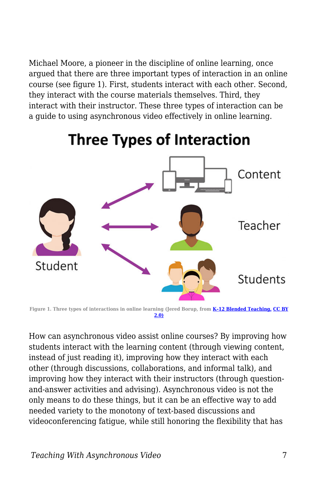Michael Moore, a pioneer in the discipline of online learning, once argued that there are three important types of interaction in an online course (see figure 1). First, students interact with each other. Second, they interact with the course materials themselves. Third, they interact with their instructor. These three types of interaction can be a guide to using asynchronous video effectively in online learning.



### **Three Types of Interaction**

**Figure 1. Three types of interactions in online learning (Jered Borup, from [K–12 Blended Teaching,](https://edtechbooks.org/k12blended) [CC BY](https://creativecommons.org/licenses/by/2.0/) [2.0\)](https://creativecommons.org/licenses/by/2.0/)**

How can asynchronous video assist online courses? By improving how students interact with the learning content (through viewing content, instead of just reading it), improving how they interact with each other (through discussions, collaborations, and informal talk), and improving how they interact with their instructors (through questionand-answer activities and advising). Asynchronous video is not the only means to do these things, but it can be an effective way to add needed variety to the monotony of text-based discussions and videoconferencing fatigue, while still honoring the flexibility that has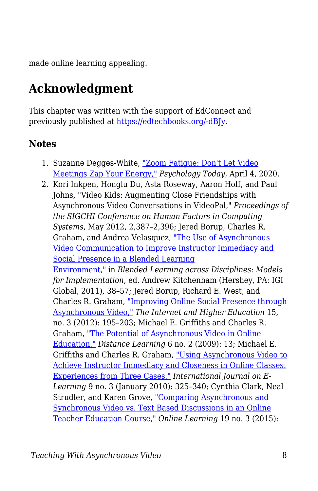made online learning appealing.

## **Acknowledgment**

This chapter was written with the support of EdConnect and previously published at [https://edtechbooks.org/-dBJy.](https://er.educause.edu/blogs/2021/2/unbounded-by-time-understanding-how-asynchronous-video-can-be-critical-to-learning-success)

#### **Notes**

- 1. Suzanne Degges-White, ["Zoom Fatigue: Don't Let Video](https://www.psychologytoday.com/us/blog/lifetime-connections/202004/zoom-fatigue-dont-let-video-meetings-zap-your-energy) [Meetings Zap Your Energy,"](https://www.psychologytoday.com/us/blog/lifetime-connections/202004/zoom-fatigue-dont-let-video-meetings-zap-your-energy) *Psychology Today,* April 4, 2020.
- 2. Kori Inkpen, Honglu Du, Asta Roseway, Aaron Hoff, and Paul Johns, "Video Kids: Augmenting Close Friendships with Asynchronous Video Conversations in VideoPal," *Proceedings of the SIGCHI Conference on Human Factors in Computing Systems*, May 2012, 2,387–2,396; Jered Borup, Charles R. Graham, and Andrea Velasquez, ["The Use of Asynchronous](https://www.researchgate.net/publication/255568043_The_Use_of_Asynchronous_Video_Communication_to_Improve_Instructor_Immediacy_and_Social_Presence_in_a_Blended_Learning_Environment) [Video Communication to Improve Instructor Immediacy and](https://www.researchgate.net/publication/255568043_The_Use_of_Asynchronous_Video_Communication_to_Improve_Instructor_Immediacy_and_Social_Presence_in_a_Blended_Learning_Environment) [Social Presence in a Blended Learning](https://www.researchgate.net/publication/255568043_The_Use_of_Asynchronous_Video_Communication_to_Improve_Instructor_Immediacy_and_Social_Presence_in_a_Blended_Learning_Environment) [Environment,"](https://www.researchgate.net/publication/255568043_The_Use_of_Asynchronous_Video_Communication_to_Improve_Instructor_Immediacy_and_Social_Presence_in_a_Blended_Learning_Environment) in *Blended Learning across Disciplines: Models for Implementation*, ed. Andrew Kitchenham (Hershey, PA: IGI Global, 2011), 38–57; Jered Borup, Richard E. West, and Charles R. Graham, ["Improving Online Social Presence through](https://www.sciencedirect.com/science/article/abs/pii/S109675161100073X) [Asynchronous Video,"](https://www.sciencedirect.com/science/article/abs/pii/S109675161100073X) *The Internet and Higher Education* 15, no. 3 (2012): 195–203; Michael E. Griffiths and Charles R. Graham, ["The Potential of Asynchronous Video in Online](https://www.researchgate.net/publication/242071788_The_potential_of_asynchronous_video_in_online_education) [Education,"](https://www.researchgate.net/publication/242071788_The_potential_of_asynchronous_video_in_online_education) *Distance Learning* 6 no. 2 (2009): 13; Michael E. Griffiths and Charles R. Graham, ["Using Asynchronous Video to](https://www.researchgate.net/publication/255566987_Using_asynchronous_video_to_achieve_instructor_immediacy_and_closeness_in_online_classes_Experiences_from_three_cases) [Achieve Instructor Immediacy and Closeness in Online Classes:](https://www.researchgate.net/publication/255566987_Using_asynchronous_video_to_achieve_instructor_immediacy_and_closeness_in_online_classes_Experiences_from_three_cases) [Experiences from Three Cases,"](https://www.researchgate.net/publication/255566987_Using_asynchronous_video_to_achieve_instructor_immediacy_and_closeness_in_online_classes_Experiences_from_three_cases) *International Journal on E-Learning* 9 no. 3 (January 2010): 325–340; Cynthia Clark, Neal Strudler, and Karen Grove, ["Comparing Asynchronous and](https://eric.ed.gov/?id=EJ1067484) [Synchronous Video vs. Text Based Discussions in an Online](https://eric.ed.gov/?id=EJ1067484) [Teacher Education Course,"](https://eric.ed.gov/?id=EJ1067484) *Online Learning* 19 no. 3 (2015):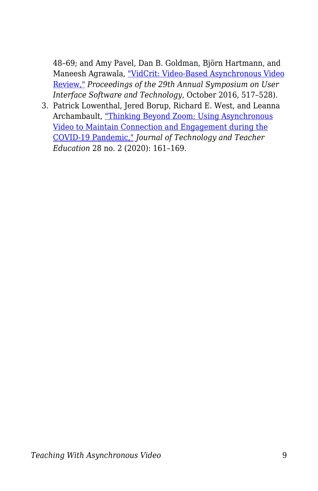48–69; and Amy Pavel, Dan B. Goldman, Björn Hartmann, and Maneesh Agrawala, ["VidCrit: Video-Based Asynchronous Video](https://dl.acm.org/doi/10.1145/2984511.2984552) [Review,"](https://dl.acm.org/doi/10.1145/2984511.2984552) *Proceedings of the 29th Annual Symposium on User Interface Software and Technology*, October 2016, 517–528).

3. Patrick Lowenthal, Jered Borup, Richard E. West, and Leanna Archambault, ["Thinking Beyond Zoom: Using Asynchronous](https://www.learntechlib.org/primary/p/216192/) [Video to Maintain Connection and Engagement during the](https://www.learntechlib.org/primary/p/216192/) [COVID-19 Pandemic,"](https://www.learntechlib.org/primary/p/216192/) *Journal of Technology and Teacher Education* 28 no. 2 (2020): 161–169.